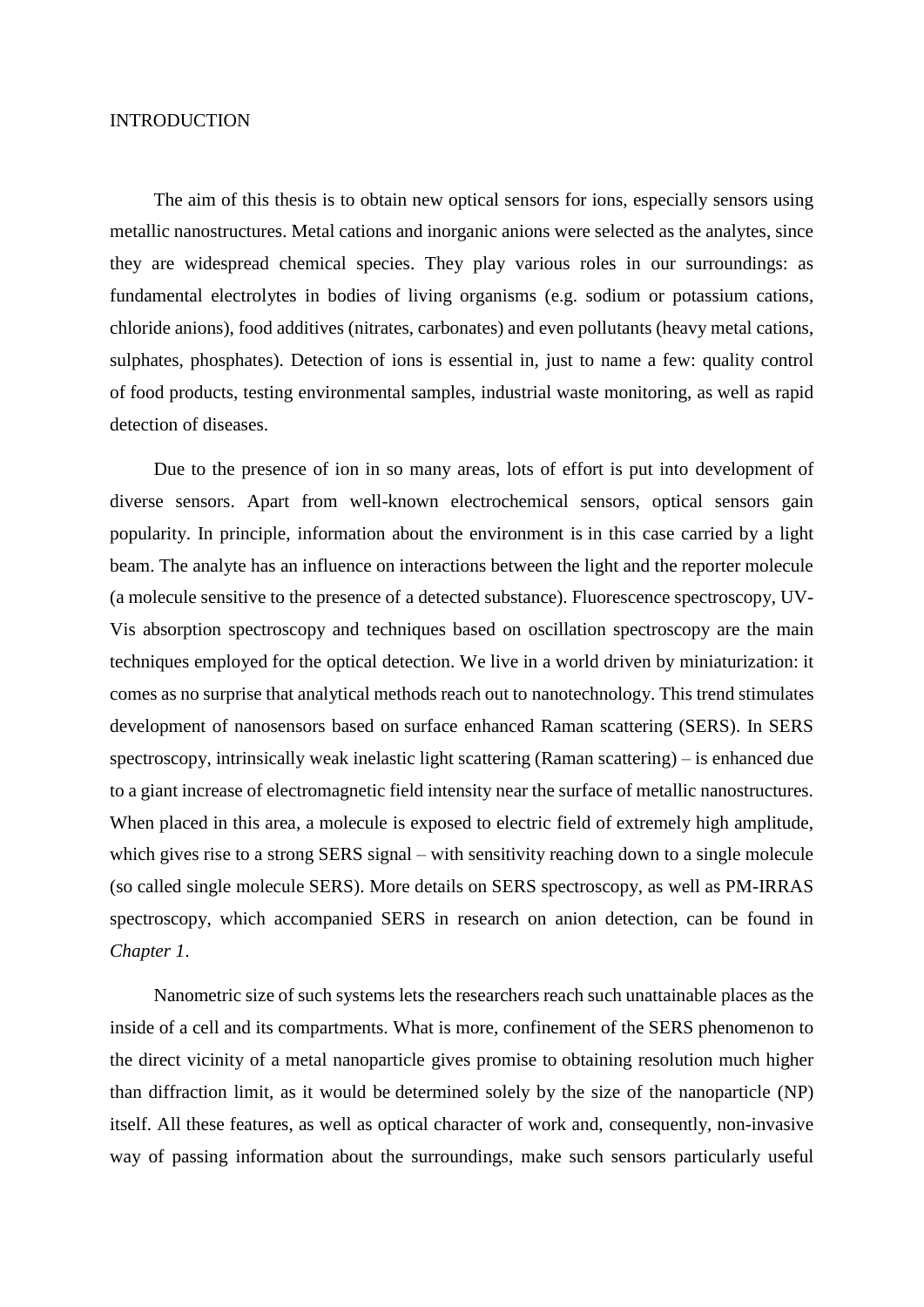## INTRODUCTION

The aim of this thesis is to obtain new optical sensors for ions, especially sensors using metallic nanostructures. Metal cations and inorganic anions were selected as the analytes, since they are widespread chemical species. They play various roles in our surroundings: as fundamental electrolytes in bodies of living organisms (e.g. sodium or potassium cations, chloride anions), food additives (nitrates, carbonates) and even pollutants (heavy metal cations, sulphates, phosphates). Detection of ions is essential in, just to name a few: quality control of food products, testing environmental samples, industrial waste monitoring, as well as rapid detection of diseases.

Due to the presence of ion in so many areas, lots of effort is put into development of diverse sensors. Apart from well-known electrochemical sensors, optical sensors gain popularity. In principle, information about the environment is in this case carried by a light beam. The analyte has an influence on interactions between the light and the reporter molecule (a molecule sensitive to the presence of a detected substance). Fluorescence spectroscopy, UV-Vis absorption spectroscopy and techniques based on oscillation spectroscopy are the main techniques employed for the optical detection. We live in a world driven by miniaturization: it comes as no surprise that analytical methods reach out to nanotechnology. This trend stimulates development of nanosensors based on surface enhanced Raman scattering (SERS). In SERS spectroscopy, intrinsically weak inelastic light scattering (Raman scattering) – is enhanced due to a giant increase of electromagnetic field intensity near the surface of metallic nanostructures. When placed in this area, a molecule is exposed to electric field of extremely high amplitude, which gives rise to a strong SERS signal – with sensitivity reaching down to a single molecule (so called single molecule SERS). More details on SERS spectroscopy, as well as PM-IRRAS spectroscopy, which accompanied SERS in research on anion detection, can be found in *Chapter 1*.

Nanometric size of such systems lets the researchers reach such unattainable places as the inside of a cell and its compartments. What is more, confinement of the SERS phenomenon to the direct vicinity of a metal nanoparticle gives promise to obtaining resolution much higher than diffraction limit, as it would be determined solely by the size of the nanoparticle (NP) itself. All these features, as well as optical character of work and, consequently, non-invasive way of passing information about the surroundings, make such sensors particularly useful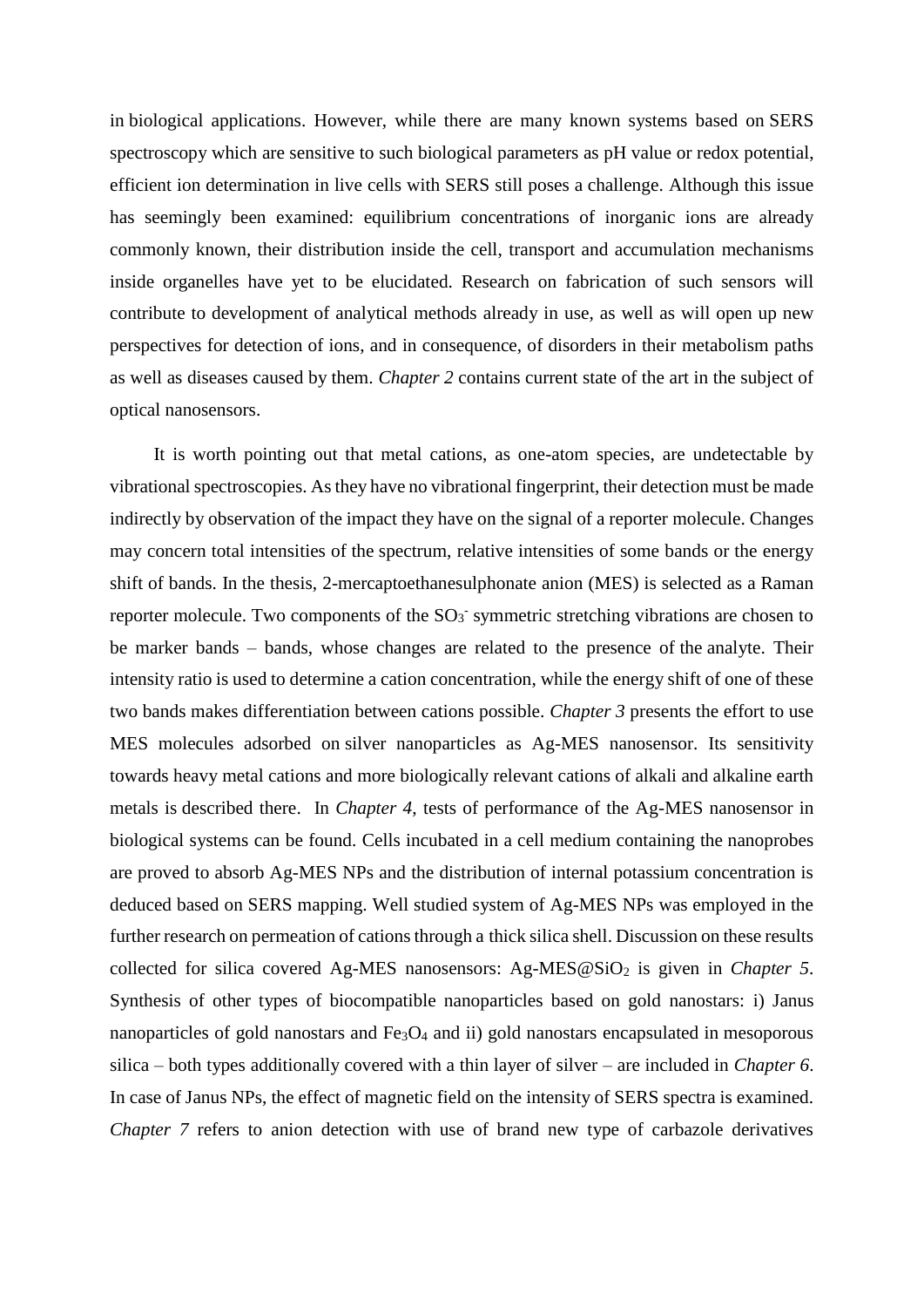in biological applications. However, while there are many known systems based on SERS spectroscopy which are sensitive to such biological parameters as pH value or redox potential, efficient ion determination in live cells with SERS still poses a challenge. Although this issue has seemingly been examined: equilibrium concentrations of inorganic ions are already commonly known, their distribution inside the cell, transport and accumulation mechanisms inside organelles have yet to be elucidated. Research on fabrication of such sensors will contribute to development of analytical methods already in use, as well as will open up new perspectives for detection of ions, and in consequence, of disorders in their metabolism paths as well as diseases caused by them. *Chapter 2* contains current state of the art in the subject of optical nanosensors.

It is worth pointing out that metal cations, as one-atom species, are undetectable by vibrational spectroscopies. As they have no vibrational fingerprint, their detection must be made indirectly by observation of the impact they have on the signal of a reporter molecule. Changes may concern total intensities of the spectrum, relative intensities of some bands or the energy shift of bands. In the thesis, 2-mercaptoethanesulphonate anion (MES) is selected as a Raman reporter molecule. Two components of the  $SO_3$  symmetric stretching vibrations are chosen to be marker bands – bands, whose changes are related to the presence of the analyte. Their intensity ratio is used to determine a cation concentration, while the energy shift of one of these two bands makes differentiation between cations possible. *Chapter 3* presents the effort to use MES molecules adsorbed on silver nanoparticles as Ag-MES nanosensor. Its sensitivity towards heavy metal cations and more biologically relevant cations of alkali and alkaline earth metals is described there. In *Chapter 4*, tests of performance of the Ag-MES nanosensor in biological systems can be found. Cells incubated in a cell medium containing the nanoprobes are proved to absorb Ag-MES NPs and the distribution of internal potassium concentration is deduced based on SERS mapping. Well studied system of Ag-MES NPs was employed in the further research on permeation of cations through a thick silica shell. Discussion on these results collected for silica covered Ag-MES nanosensors: Ag-MES@SiO<sub>2</sub> is given in *Chapter 5*. Synthesis of other types of biocompatible nanoparticles based on gold nanostars: i) Janus nanoparticles of gold nanostars and Fe<sub>3</sub>O<sub>4</sub> and ii) gold nanostars encapsulated in mesoporous silica – both types additionally covered with a thin layer of silver – are included in *Chapter 6*. In case of Janus NPs, the effect of magnetic field on the intensity of SERS spectra is examined. *Chapter 7* refers to anion detection with use of brand new type of carbazole derivatives